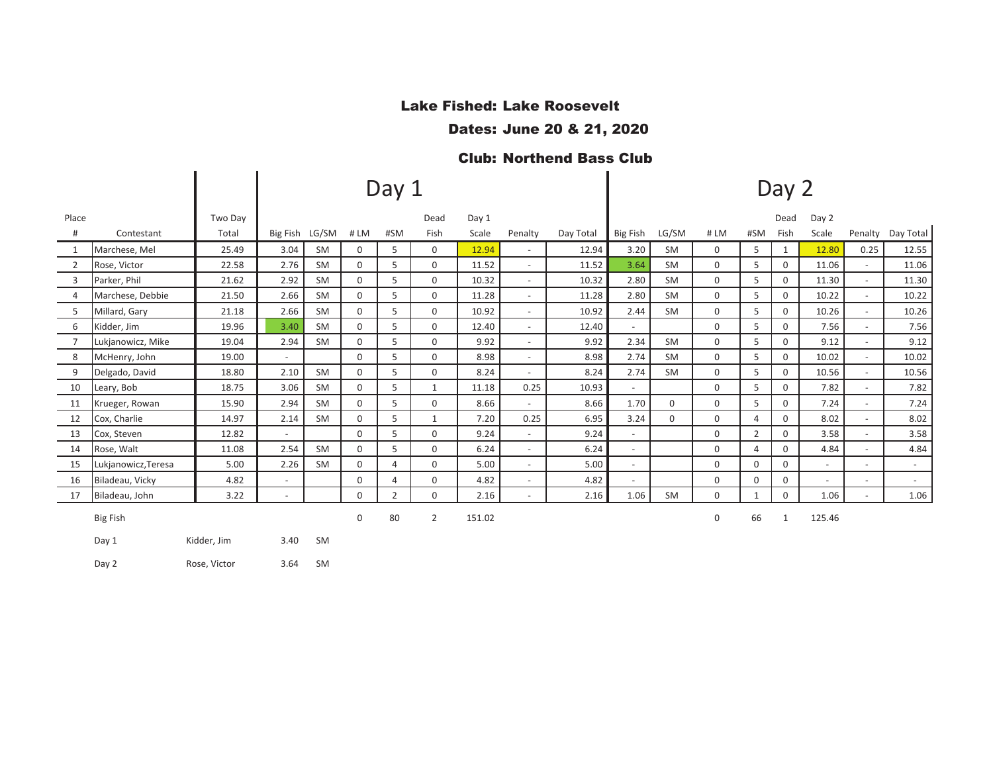### Lake Fished: Lake Roosevelt

Dates: June 20 & 21, 2020

## Club: Northend Bass Club

|                |                     |              |                          |           |             | Day 1          |              |        | Day 2                    |           |                          |             |             |                |              |                          |                          |           |
|----------------|---------------------|--------------|--------------------------|-----------|-------------|----------------|--------------|--------|--------------------------|-----------|--------------------------|-------------|-------------|----------------|--------------|--------------------------|--------------------------|-----------|
| Place          |                     | Two Day      |                          |           |             |                | Dead         | Day 1  |                          |           |                          |             |             |                | Dead         | Day 2                    |                          |           |
| #              | Contestant          | Total        | Big Fish LG/SM           |           | #LM         | #SM            | Fish         | Scale  | Penalty                  | Day Total | Big Fish                 | LG/SM       | #LM         | #SM            | Fish         | Scale                    | Penalty                  | Day Total |
| 1              | Marchese, Mel       | 25.49        | 3.04                     | <b>SM</b> | 0           | 5              | $\mathbf 0$  | 12.94  | $\overline{\phantom{a}}$ | 12.94     | 3.20                     | <b>SM</b>   | $\mathbf 0$ | 5              | $\mathbf{1}$ | 12.80                    | 0.25                     | 12.55     |
| 2              | Rose, Victor        | 22.58        | 2.76                     | <b>SM</b> | $\mathbf 0$ | 5              | 0            | 11.52  | $\overline{\phantom{a}}$ | 11.52     | 3.64                     | SM          | 0           | 5              | 0            | 11.06                    | $\sim$                   | 11.06     |
| 3              | Parker, Phil        | 21.62        | 2.92                     | <b>SM</b> | 0           | 5              | 0            | 10.32  | $\overline{\phantom{a}}$ | 10.32     | 2.80                     | <b>SM</b>   | 0           | 5              | $\mathbf 0$  | 11.30                    | $\sim$                   | 11.30     |
| 4              | Marchese, Debbie    | 21.50        | 2.66                     | <b>SM</b> | $\Omega$    | 5              | $\mathbf 0$  | 11.28  | $\overline{\phantom{a}}$ | 11.28     | 2.80                     | <b>SM</b>   | $\mathbf 0$ | 5              | 0            | 10.22                    | $\sim$                   | 10.22     |
| 5              | Millard, Gary       | 21.18        | 2.66                     | <b>SM</b> | 0           | 5              | $\mathbf 0$  | 10.92  | $\overline{\phantom{a}}$ | 10.92     | 2.44                     | <b>SM</b>   | $\mathbf 0$ | 5              | $\mathbf 0$  | 10.26                    | $\overline{\phantom{a}}$ | 10.26     |
| 6              | Kidder, Jim         | 19.96        | 3.40                     | <b>SM</b> | 0           | 5              | $\mathbf 0$  | 12.40  | $\overline{\phantom{a}}$ | 12.40     | $\sim$                   |             | 0           | 5              | 0            | 7.56                     |                          | 7.56      |
| $\overline{7}$ | Lukjanowicz, Mike   | 19.04        | 2.94                     | <b>SM</b> | 0           | 5              | $\mathbf 0$  | 9.92   | $\sim$                   | 9.92      | 2.34                     | <b>SM</b>   | 0           | 5              | 0            | 9.12                     | $\sim$                   | 9.12      |
| 8              | McHenry, John       | 19.00        |                          |           | 0           | 5              | $\mathbf 0$  | 8.98   | $\overline{\phantom{a}}$ | 8.98      | 2.74                     | <b>SM</b>   | 0           | 5              | $\mathbf 0$  | 10.02                    | $\overline{\phantom{a}}$ | 10.02     |
| 9              | Delgado, David      | 18.80        | 2.10                     | <b>SM</b> | 0           | 5              | 0            | 8.24   | $\overline{\phantom{a}}$ | 8.24      | 2.74                     | SM          | 0           | 5              | 0            | 10.56                    | $\sim$                   | 10.56     |
| 10             | Leary, Bob          | 18.75        | 3.06                     | SM        | 0           | 5              | $\mathbf{1}$ | 11.18  | 0.25                     | 10.93     | $\overline{\phantom{a}}$ |             | 0           | 5              | 0            | 7.82                     | $\sim$                   | 7.82      |
| 11             | Krueger, Rowan      | 15.90        | 2.94                     | <b>SM</b> | 0           | 5              | 0            | 8.66   | $\overline{\phantom{0}}$ | 8.66      | 1.70                     | $\mathbf 0$ | 0           | 5              | 0            | 7.24                     | $\overline{\phantom{a}}$ | 7.24      |
| 12             | Cox, Charlie        | 14.97        | 2.14                     | <b>SM</b> | 0           | 5              | $\mathbf{1}$ | 7.20   | 0.25                     | 6.95      | 3.24                     | $\mathbf 0$ | 0           | $\overline{4}$ | 0            | 8.02                     |                          | 8.02      |
| 13             | Cox, Steven         | 12.82        |                          |           | $\Omega$    | 5              | $\mathbf 0$  | 9.24   | $\sim$                   | 9.24      | $\sim$                   |             | 0           | $\overline{2}$ | $\Omega$     | 3.58                     |                          | 3.58      |
| 14             | Rose, Walt          | 11.08        | 2.54                     | <b>SM</b> | $\Omega$    | 5              | $\mathbf 0$  | 6.24   | $\overline{\phantom{a}}$ | 6.24      | $\overline{\phantom{a}}$ |             | 0           | 4              | $\Omega$     | 4.84                     | $\sim$                   | 4.84      |
| 15             | Lukjanowicz, Teresa | 5.00         | 2.26                     | <b>SM</b> | 0           | 4              | $\mathbf 0$  | 5.00   | $\overline{\phantom{a}}$ | 5.00      | $\sim$                   |             | 0           | $\mathbf 0$    | 0            | $\sim$                   | $\sim$                   | $\sim$    |
| 16             | Biladeau, Vicky     | 4.82         | $\sim$                   |           | $\Omega$    | 4              | $\mathbf 0$  | 4.82   | $\overline{\phantom{a}}$ | 4.82      | $\sim$                   |             | 0           | $\Omega$       | 0            | $\overline{\phantom{a}}$ | $\sim$                   | $\sim$    |
| 17             | Biladeau, John      | 3.22         | $\overline{\phantom{a}}$ |           | 0           | $\overline{2}$ | $\mathbf 0$  | 2.16   | $\overline{\phantom{0}}$ | 2.16      | 1.06                     | <b>SM</b>   | 0           | 1              | $\mathbf 0$  | 1.06                     | $\overline{\phantom{a}}$ | 1.06      |
|                | <b>Big Fish</b>     |              |                          |           | 0           | 80             | 2            | 151.02 |                          |           |                          |             | 0           | 66             | $\mathbf{1}$ | 125.46                   |                          |           |
|                | Day 1               | Kidder, Jim  | 3.40                     | <b>SM</b> |             |                |              |        |                          |           |                          |             |             |                |              |                          |                          |           |
|                | Day 2               | Rose, Victor | 3.64                     | SM        |             |                |              |        |                          |           |                          |             |             |                |              |                          |                          |           |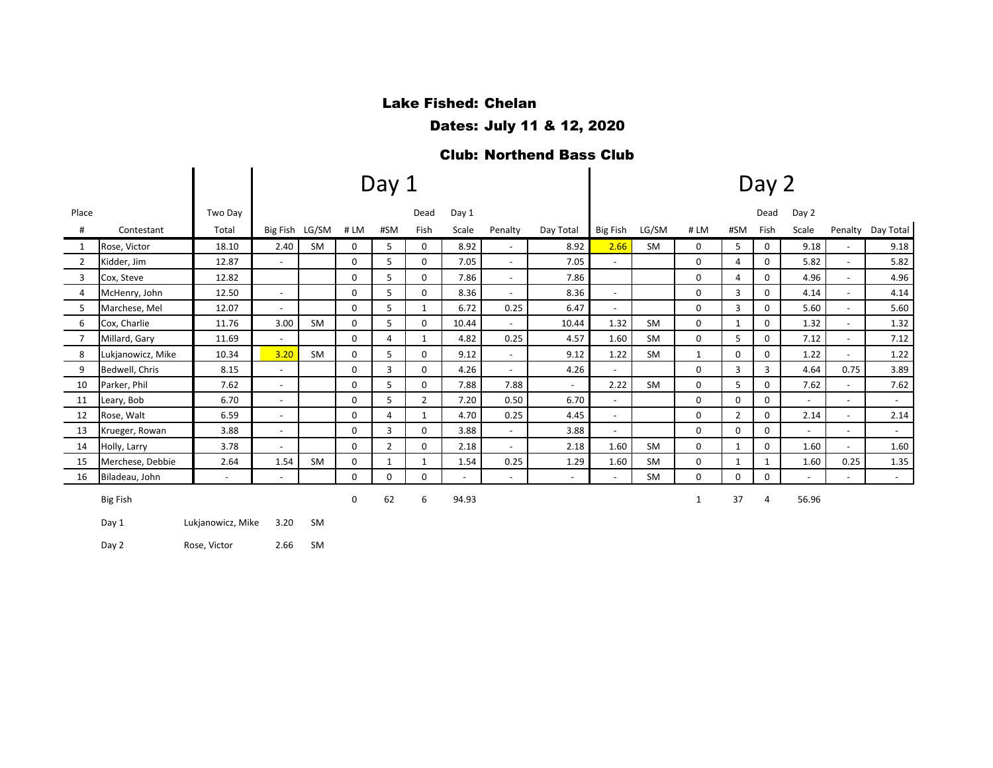# Lake Fished: Chelan

Dates: July 11 & 12, 2020

#### Club: Northend Bass Club

|                |                   |                          |                          |                |             | Day 1          |                |        |                          | Day 2                    |                          |           |              |                |              |                          |                          |                   |  |  |
|----------------|-------------------|--------------------------|--------------------------|----------------|-------------|----------------|----------------|--------|--------------------------|--------------------------|--------------------------|-----------|--------------|----------------|--------------|--------------------------|--------------------------|-------------------|--|--|
| Place          |                   | Two Day                  |                          |                |             |                | Dead           | Day 1  |                          |                          |                          |           |              |                | Dead         | Day 2                    |                          |                   |  |  |
| #              | Contestant        | Total                    |                          | Big Fish LG/SM | #LM         | #SM            | Fish           | Scale  | Penalty                  | Day Total                | Big Fish                 | LG/SM     | #LM          | #SM            | Fish         | Scale                    |                          | Penalty Day Total |  |  |
| 1              | Rose, Victor      | 18.10                    | 2.40                     | SM             | 0           | 5              | 0              | 8.92   | $\overline{\phantom{a}}$ | 8.92                     | 2.66                     | SM        | 0            | 5              | 0            | 9.18                     |                          | 9.18              |  |  |
| 2              | Kidder, Jim       | 12.87                    | $\overline{\phantom{a}}$ |                | 0           | 5              | 0              | 7.05   | $\overline{\phantom{a}}$ | 7.05                     | $\sim$                   |           | 0            | 4              | 0            | 5.82                     |                          | 5.82              |  |  |
| 3              | Cox, Steve        | 12.82                    |                          |                | 0           | 5              | 0              | 7.86   | $\overline{\phantom{a}}$ | 7.86                     |                          |           | $\Omega$     | 4              | $\Omega$     | 4.96                     |                          | 4.96              |  |  |
| 4              | McHenry, John     | 12.50                    | $\overline{\phantom{a}}$ |                | 0           | 5              | $\Omega$       | 8.36   | $\overline{\phantom{a}}$ | 8.36                     | $\sim$                   |           | $\Omega$     | 3              | $\Omega$     | 4.14                     | $\overline{\phantom{a}}$ | 4.14              |  |  |
| 5              | Marchese, Mel     | 12.07                    | $\sim$                   |                | 0           | 5              | 1              | 6.72   | 0.25                     | 6.47                     | $\overline{\phantom{a}}$ |           | 0            | 3              | 0            | 5.60                     | $\overline{\phantom{a}}$ | 5.60              |  |  |
| 6              | Cox, Charlie      | 11.76                    | 3.00                     | SM             | 0           | 5              | 0              | 10.44  | $\overline{\phantom{a}}$ | 10.44                    | 1.32                     | SM        | 0            | $\mathbf{1}$   | 0            | 1.32                     | $\overline{\phantom{a}}$ | 1.32              |  |  |
| $\overline{7}$ | Millard, Gary     | 11.69                    | $\overline{\phantom{a}}$ |                | 0           | 4              | $\mathbf{1}$   | 4.82   | 0.25                     | 4.57                     | 1.60                     | <b>SM</b> | 0            | 5              | 0            | 7.12                     | $\overline{\phantom{a}}$ | 7.12              |  |  |
| 8              | Lukjanowicz, Mike | 10.34                    | 3.20                     | SM             | 0           | 5              | 0              | 9.12   | $\overline{\phantom{a}}$ | 9.12                     | 1.22                     | <b>SM</b> | 1            | 0              | 0            | 1.22                     | $\overline{\phantom{0}}$ | 1.22              |  |  |
| 9              | Bedwell, Chris    | 8.15                     | $\overline{\phantom{a}}$ |                | $\Omega$    | 3              | 0              | 4.26   | $\overline{\phantom{a}}$ | 4.26                     | $\sim$                   |           | $\Omega$     | 3              | 3            | 4.64                     | 0.75                     | 3.89              |  |  |
| 10             | Parker, Phil      | 7.62                     | $\overline{\phantom{a}}$ |                | 0           | 5              | 0              | 7.88   | 7.88                     | $\sim$                   | 2.22                     | <b>SM</b> | $\Omega$     | 5              | 0            | 7.62                     | $\blacksquare$           | 7.62              |  |  |
| 11             | Leary, Bob        | 6.70                     | $\overline{\phantom{a}}$ |                | $\mathbf 0$ | 5              | $\overline{2}$ | 7.20   | 0.50                     | 6.70                     | $\overline{\phantom{a}}$ |           | 0            | 0              | 0            | $\overline{\phantom{a}}$ | $\overline{\phantom{a}}$ | $\sim$            |  |  |
| 12             | Rose, Walt        | 6.59                     | $\overline{\phantom{a}}$ |                | 0           | $\overline{4}$ | $\mathbf{1}$   | 4.70   | 0.25                     | 4.45                     | $\overline{\phantom{a}}$ |           | 0            | $\overline{2}$ | 0            | 2.14                     | $\overline{\phantom{a}}$ | 2.14              |  |  |
| 13             | Krueger, Rowan    | 3.88                     | $\overline{\phantom{a}}$ |                | 0           | 3              | 0              | 3.88   | $\overline{\phantom{a}}$ | 3.88                     | $\sim$                   |           | 0            | 0              | 0            | $\sim$                   | $\overline{\phantom{a}}$ | $\sim$            |  |  |
| 14             | Holly, Larry      | 3.78                     | $\overline{\phantom{a}}$ |                | 0           | $\overline{2}$ | 0              | 2.18   | $\overline{\phantom{a}}$ | 2.18                     | 1.60                     | <b>SM</b> | 0            | 1              | 0            | 1.60                     | $\overline{\phantom{0}}$ | 1.60              |  |  |
| 15             | Merchese, Debbie  | 2.64                     | 1.54                     | <b>SM</b>      | 0           | 1              | 1              | 1.54   | 0.25                     | 1.29                     | 1.60                     | <b>SM</b> | 0            | $\mathbf{1}$   | $\mathbf{1}$ | 1.60                     | 0.25                     | 1.35              |  |  |
| 16             | Biladeau, John    | $\overline{\phantom{0}}$ | $\overline{a}$           |                | $\Omega$    | 0              | 0              | $\sim$ | $\sim$                   | $\overline{\phantom{a}}$ | $\sim$                   | SM        | $\Omega$     | $\Omega$       | $\Omega$     | $\overline{a}$           |                          | $\sim$            |  |  |
|                | <b>Big Fish</b>   |                          |                          |                | 0           | 62             | 6              | 94.93  |                          |                          |                          |           | $\mathbf{1}$ | 37             | 4            | 56.96                    |                          |                   |  |  |
|                | Day 1             | Lukjanowicz, Mike        | 3.20                     | <b>SM</b>      |             |                |                |        |                          |                          |                          |           |              |                |              |                          |                          |                   |  |  |

Day 2 Rose, Victor 2.66 SM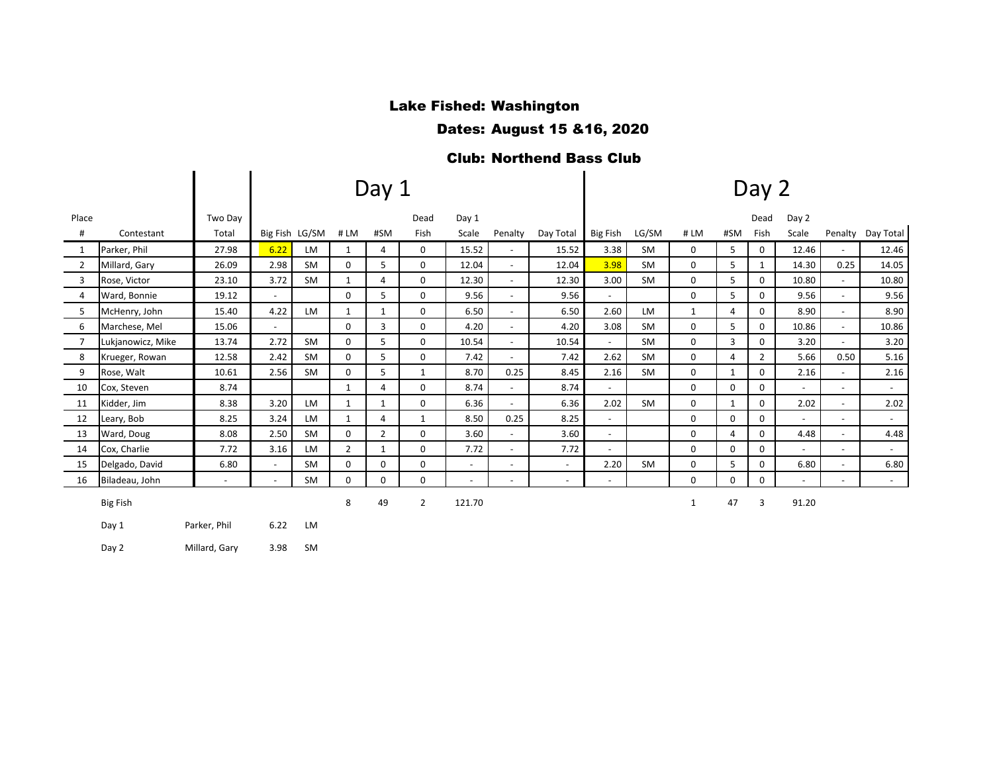#### Lake Fished: Washington

Dates: August 15 &16, 2020

## Club: Northend Bass Club

|                |                   |              |                          |                |                | Day 1          |                | Day 2                    |                          |                          |                          |           |              |                |                |                          |                          |           |
|----------------|-------------------|--------------|--------------------------|----------------|----------------|----------------|----------------|--------------------------|--------------------------|--------------------------|--------------------------|-----------|--------------|----------------|----------------|--------------------------|--------------------------|-----------|
| Place          |                   | Two Dav      |                          |                |                |                | Dead           | Day 1                    |                          |                          |                          |           |              |                | Dead           | Day 2                    |                          |           |
| #              | Contestant        | Total        |                          | Big Fish LG/SM | #LM            | #SM            | Fish           | Scale                    | Penalty                  | Day Total                | <b>Big Fish</b>          | LG/SM     | #LM          | #SM            | Fish           | Scale                    | Penalty                  | Day Total |
| 1              | Parker, Phil      | 27.98        | 6.22                     | <b>LM</b>      | 1              | $\overline{4}$ | 0              | 15.52                    | $\overline{\phantom{a}}$ | 15.52                    | 3.38                     | <b>SM</b> | 0            | 5              | $\mathbf{0}$   | 12.46                    | $\sim$                   | 12.46     |
| 2              | Millard, Gary     | 26.09        | 2.98                     | <b>SM</b>      | $\Omega$       | 5              | $\Omega$       | 12.04                    | $\blacksquare$           | 12.04                    | 3.98                     | <b>SM</b> | $\Omega$     | 5              | 1              | 14.30                    | 0.25                     | 14.05     |
| $\overline{3}$ | Rose, Victor      | 23.10        | 3.72                     | <b>SM</b>      | $\mathbf{1}$   | 4              | $\mathbf 0$    | 12.30                    | $\overline{\phantom{a}}$ | 12.30                    | 3.00                     | <b>SM</b> | $\mathbf 0$  | 5              | $\mathbf 0$    | 10.80                    | $\overline{\phantom{a}}$ | 10.80     |
| $\overline{4}$ | Ward, Bonnie      | 19.12        | $\overline{\phantom{a}}$ |                | $\Omega$       | 5              | 0              | 9.56                     | $\overline{\phantom{a}}$ | 9.56                     | $\sim$                   |           | $\Omega$     | 5              | 0              | 9.56                     | $\sim$                   | 9.56      |
| 5              | McHenry, John     | 15.40        | 4.22                     | <b>LM</b>      | $\mathbf{1}$   | $\mathbf{1}$   | $\mathbf 0$    | 6.50                     | $\overline{\phantom{a}}$ | 6.50                     | 2.60                     | <b>LM</b> | $\mathbf{1}$ | $\overline{4}$ | $\mathbf 0$    | 8.90                     |                          | 8.90      |
| 6              | Marchese, Mel     | 15.06        | $\overline{\phantom{a}}$ |                | $\mathbf 0$    | $\overline{3}$ | $\mathbf 0$    | 4.20                     | $\overline{\phantom{a}}$ | 4.20                     | 3.08                     | <b>SM</b> | 0            | 5              | $\mathbf 0$    | 10.86                    | $\overline{\phantom{a}}$ | 10.86     |
| $\overline{7}$ | Lukjanowicz, Mike | 13.74        | 2.72                     | <b>SM</b>      | 0              | 5              | 0              | 10.54                    | $\overline{\phantom{a}}$ | 10.54                    | $\sim$                   | <b>SM</b> | $\mathbf 0$  | 3              | $\mathbf 0$    | 3.20                     |                          | 3.20      |
| 8              | Krueger, Rowan    | 12.58        | 2.42                     | <b>SM</b>      | $\mathbf 0$    | 5              | 0              | 7.42                     | $\overline{\phantom{0}}$ | 7.42                     | 2.62                     | <b>SM</b> | $\mathbf 0$  | $\overline{4}$ | $\overline{2}$ | 5.66                     | 0.50                     | 5.16      |
| 9              | Rose, Walt        | 10.61        | 2.56                     | <b>SM</b>      | 0              | 5              | $\mathbf{1}$   | 8.70                     | 0.25                     | 8.45                     | 2.16                     | <b>SM</b> | 0            | $\mathbf{1}$   | $\mathbf 0$    | 2.16                     | $\overline{\phantom{a}}$ | 2.16      |
| 10             | Cox, Steven       | 8.74         |                          |                | 1              | 4              | $\mathbf 0$    | 8.74                     | $\blacksquare$           | 8.74                     | $\sim$                   |           | $\mathbf 0$  | $\mathbf 0$    | $\mathbf 0$    | $\sim$                   | $\sim$                   | $\sim$    |
| 11             | Kidder, Jim       | 8.38         | 3.20                     | <b>LM</b>      | $\mathbf{1}$   | 1              | 0              | 6.36                     | $\overline{\phantom{0}}$ | 6.36                     | 2.02                     | <b>SM</b> | $\mathbf 0$  | $\mathbf{1}$   | $\mathbf 0$    | 2.02                     | $\overline{\phantom{a}}$ | 2.02      |
| 12             | Leary, Bob        | 8.25         | 3.24                     | <b>LM</b>      | $\mathbf{1}$   | 4              | $\mathbf{1}$   | 8.50                     | 0.25                     | 8.25                     | $\sim$                   |           | $\Omega$     | $\mathbf 0$    | $\mathbf 0$    | $\sim$                   | $\sim$                   | $\sim$    |
| 13             | Ward, Doug        | 8.08         | 2.50                     | <b>SM</b>      | 0              | $\overline{2}$ | 0              | 3.60                     | $\overline{\phantom{0}}$ | 3.60                     | $\overline{\phantom{a}}$ |           | 0            | 4              | $\mathbf 0$    | 4.48                     | $\sim$                   | 4.48      |
| 14             | Cox, Charlie      | 7.72         | 3.16                     | <b>LM</b>      | $\overline{2}$ | $\mathbf{1}$   | 0              | 7.72                     | $\overline{\phantom{a}}$ | 7.72                     | $\overline{\phantom{a}}$ |           | 0            | $\Omega$       | $\mathbf 0$    | $\overline{\phantom{a}}$ | $\sim$                   | $\sim$    |
| 15             | Delgado, David    | 6.80         | $\overline{\phantom{a}}$ | <b>SM</b>      | 0              | 0              | 0              | $\overline{\phantom{a}}$ | $\overline{\phantom{a}}$ | $\overline{\phantom{a}}$ | 2.20                     | <b>SM</b> | 0            | 5              | 0              | 6.80                     | $\sim$                   | 6.80      |
| 16             | Biladeau, John    | $\sim$       | $\overline{\phantom{0}}$ | <b>SM</b>      | $\Omega$       | 0              | 0              | $\blacksquare$           | $\overline{\phantom{a}}$ | $\overline{\phantom{a}}$ | $\sim$                   |           | $\Omega$     | $\Omega$       | 0              | $\overline{\phantom{a}}$ | $\overline{\phantom{a}}$ | $\sim$    |
|                | <b>Big Fish</b>   |              |                          |                | 8              | 49             | $\overline{2}$ | 121.70                   |                          |                          |                          |           | $\mathbf{1}$ | 47             | 3              | 91.20                    |                          |           |
|                | Day 1             | Parker, Phil | 6.22                     | LM             |                |                |                |                          |                          |                          |                          |           |              |                |                |                          |                          |           |

Day 2 Millard, Gary 3.98 SM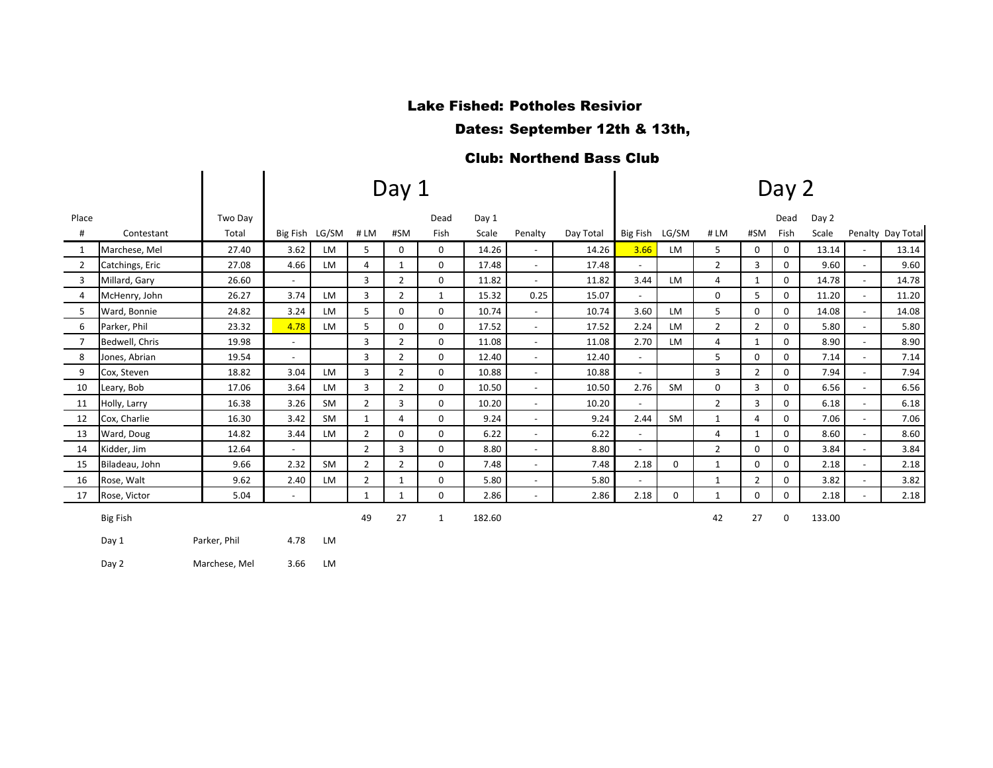#### Lake Fished: Potholes Resivior

Dates: September 12th & 13th,

### Club: Northend Bass Club

|                |                 |               |                          |           |                | Day 1          |              |        | Day 2                    |           |                          |           |                |                |             |        |                          |                   |
|----------------|-----------------|---------------|--------------------------|-----------|----------------|----------------|--------------|--------|--------------------------|-----------|--------------------------|-----------|----------------|----------------|-------------|--------|--------------------------|-------------------|
| Place          |                 | Two Day       |                          |           |                |                | Dead         | Day 1  |                          |           |                          |           |                |                | Dead        | Day 2  |                          |                   |
| #              | Contestant      | Total         | Big Fish LG/SM           |           | #LM            | #SM            | Fish         | Scale  | Penalty                  | Day Total | Big Fish                 | LG/SM     | #LM            | #SM            | Fish        | Scale  |                          | Penalty Day Total |
| 1              | Marchese, Mel   | 27.40         | 3.62                     | LM        | 5              | 0              | $\mathbf 0$  | 14.26  | $\sim$                   | 14.26     | 3.66                     | LM        | 5              | $\mathbf 0$    | 0           | 13.14  | $\sim$                   | 13.14             |
| 2              | Catchings, Eric | 27.08         | 4.66                     | <b>LM</b> | 4              | $\mathbf{1}$   | $\mathbf 0$  | 17.48  | $\sim$                   | 17.48     | $\overline{\phantom{a}}$ |           | $\overline{2}$ | 3              | 0           | 9.60   | $\overline{\phantom{a}}$ | 9.60              |
| 3              | Millard, Gary   | 26.60         | $\blacksquare$           |           | 3              | $\overline{2}$ | 0            | 11.82  | $\sim$                   | 11.82     | 3.44                     | LM        | 4              | 1              | 0           | 14.78  | $\overline{\phantom{a}}$ | 14.78             |
| 4              | McHenry, John   | 26.27         | 3.74                     | <b>LM</b> | 3              | $\overline{2}$ | 1            | 15.32  | 0.25                     | 15.07     |                          |           | $\mathbf 0$    | 5              | $\mathbf 0$ | 11.20  | $\overline{\phantom{a}}$ | 11.20             |
| 5              | Ward, Bonnie    | 24.82         | 3.24                     | <b>LM</b> | 5              | 0              | $\mathbf 0$  | 10.74  |                          | 10.74     | 3.60                     | <b>LM</b> | 5              | 0              | 0           | 14.08  | $\blacksquare$           | 14.08             |
| 6              | Parker, Phil    | 23.32         | 4.78                     | <b>LM</b> | 5              | 0              | $\mathbf 0$  | 17.52  | $\overline{\phantom{a}}$ | 17.52     | 2.24                     | LM        | $\overline{2}$ | $\overline{2}$ | 0           | 5.80   |                          | 5.80              |
| $\overline{7}$ | Bedwell, Chris  | 19.98         | $\overline{\phantom{a}}$ |           | 3              | $\overline{2}$ | 0            | 11.08  | $\overline{\phantom{a}}$ | 11.08     | 2.70                     | <b>LM</b> | 4              | $\mathbf{1}$   | $\mathbf 0$ | 8.90   | $\sim$                   | 8.90              |
| 8              | Jones, Abrian   | 19.54         | $\blacksquare$           |           | 3              | $\overline{2}$ | 0            | 12.40  | $\overline{\phantom{a}}$ | 12.40     |                          |           | 5              | 0              | 0           | 7.14   | $\overline{\phantom{a}}$ | 7.14              |
| 9              | Cox, Steven     | 18.82         | 3.04                     | LM        | 3              | $\overline{2}$ | 0            | 10.88  | $\sim$                   | 10.88     | $\overline{\phantom{a}}$ |           | 3              | $\overline{2}$ | 0           | 7.94   | $\overline{\phantom{a}}$ | 7.94              |
| 10             | Leary, Bob      | 17.06         | 3.64                     | <b>LM</b> | 3              | $\overline{2}$ | 0            | 10.50  | $\sim$                   | 10.50     | 2.76                     | SM        | 0              | $\overline{3}$ | $\mathbf 0$ | 6.56   | $\overline{\phantom{a}}$ | 6.56              |
| 11             | Holly, Larry    | 16.38         | 3.26                     | <b>SM</b> | $\overline{2}$ | 3              | 0            | 10.20  | ٠                        | 10.20     |                          |           | $\overline{2}$ | 3              | 0           | 6.18   | $\blacksquare$           | 6.18              |
| 12             | Cox, Charlie    | 16.30         | 3.42                     | <b>SM</b> | $\mathbf{1}$   | 4              | $\mathbf 0$  | 9.24   | $\sim$                   | 9.24      | 2.44                     | SM        | $\mathbf{1}$   | 4              | 0           | 7.06   | $\overline{\phantom{0}}$ | 7.06              |
| 13             | Ward, Doug      | 14.82         | 3.44                     | <b>LM</b> | $\overline{2}$ | $\Omega$       | $\Omega$     | 6.22   | $\sim$                   | 6.22      | $\sim$                   |           | 4              | $\mathbf{1}$   | $\mathbf 0$ | 8.60   | $\overline{a}$           | 8.60              |
| 14             | Kidder, Jim     | 12.64         | $\sim$                   |           | $\overline{2}$ | 3              | 0            | 8.80   | $\sim$                   | 8.80      | $\overline{a}$           |           | $\overline{2}$ | $\Omega$       | $\mathbf 0$ | 3.84   | $\overline{\phantom{a}}$ | 3.84              |
| 15             | Biladeau, John  | 9.66          | 2.32                     | <b>SM</b> | $\overline{2}$ | $\overline{2}$ | $\mathbf 0$  | 7.48   | $\overline{\phantom{a}}$ | 7.48      | 2.18                     | 0         | $\mathbf{1}$   | $\mathbf 0$    | $\mathbf 0$ | 2.18   | $\sim$                   | 2.18              |
| 16             | Rose, Walt      | 9.62          | 2.40                     | LM        | $\overline{2}$ | $\mathbf{1}$   | 0            | 5.80   | $\overline{\phantom{a}}$ | 5.80      | $\overline{\phantom{a}}$ |           | $\mathbf{1}$   | $\overline{2}$ | 0           | 3.82   | $\overline{\phantom{a}}$ | 3.82              |
| 17             | Rose, Victor    | 5.04          | $\overline{\phantom{a}}$ |           | $\mathbf{1}$   | $\mathbf{1}$   | 0            | 2.86   | $\blacksquare$           | 2.86      | 2.18                     | 0         | $\mathbf{1}$   | 0              | 0           | 2.18   |                          | 2.18              |
|                | <b>Big Fish</b> |               |                          |           | 49             | 27             | $\mathbf{1}$ | 182.60 |                          |           |                          |           | 42             | 27             | 0           | 133.00 |                          |                   |
|                | Day 1           | Parker, Phil  | 4.78                     | LM        |                |                |              |        |                          |           |                          |           |                |                |             |        |                          |                   |
|                | Day 2           | Marchese, Mel | 3.66                     | LM        |                |                |              |        |                          |           |                          |           |                |                |             |        |                          |                   |